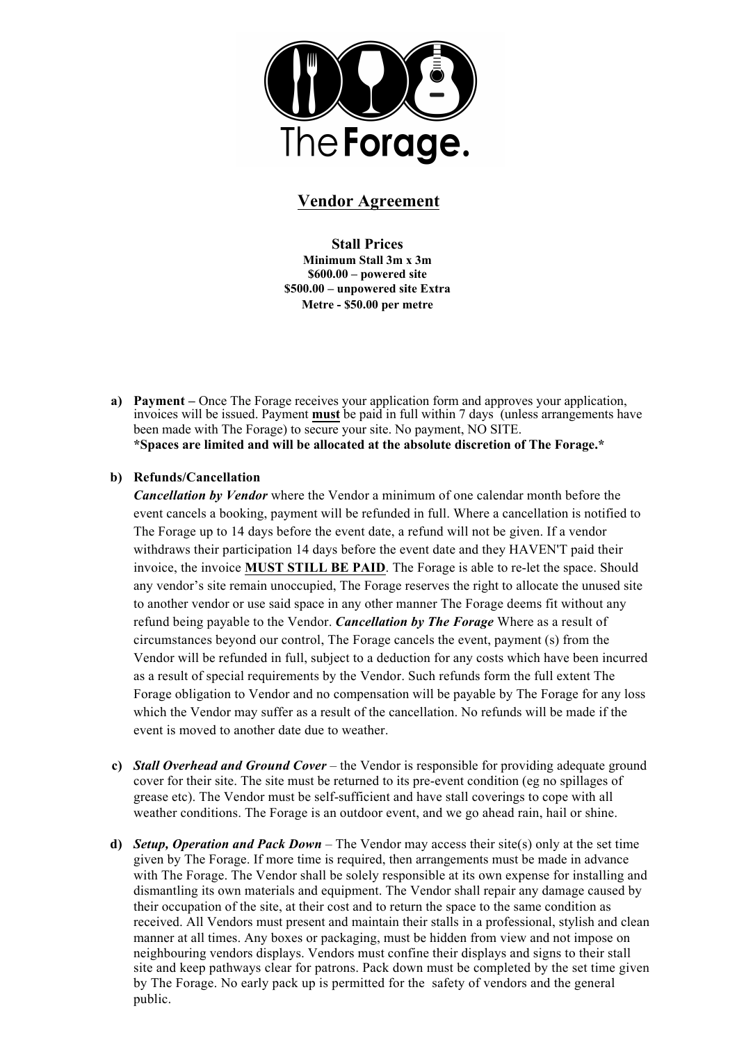

## **Vendor Agreement**

**Stall Prices Minimum Stall 3m x 3m \$600.00 – powered site \$500.00 – unpowered site Extra Metre - \$50.00 per metre**

**a) Payment –** Once The Forage receives your application form and approves your application, invoices will be issued. Payment **must** be paid in full within 7 days (unless arrangements have been made with The Forage) to secure your site. No payment, NO SITE. **\*Spaces are limited and will be allocated at the absolute discretion of The Forage.\***

## **b) Refunds/Cancellation**

*Cancellation by Vendor* where the Vendor a minimum of one calendar month before the event cancels a booking, payment will be refunded in full. Where a cancellation is notified to The Forage up to 14 days before the event date, a refund will not be given. If a vendor withdraws their participation 14 days before the event date and they HAVEN'T paid their invoice, the invoice **MUST STILL BE PAID**. The Forage is able to re-let the space. Should any vendor's site remain unoccupied, The Forage reserves the right to allocate the unused site to another vendor or use said space in any other manner The Forage deems fit without any refund being payable to the Vendor. *Cancellation by The Forage* Where as a result of circumstances beyond our control, The Forage cancels the event, payment (s) from the Vendor will be refunded in full, subject to a deduction for any costs which have been incurred as a result of special requirements by the Vendor. Such refunds form the full extent The Forage obligation to Vendor and no compensation will be payable by The Forage for any loss which the Vendor may suffer as a result of the cancellation. No refunds will be made if the event is moved to another date due to weather.

- **c)** *Stall Overhead and Ground Cover* the Vendor is responsible for providing adequate ground cover for their site. The site must be returned to its pre-event condition (eg no spillages of grease etc). The Vendor must be self-sufficient and have stall coverings to cope with all weather conditions. The Forage is an outdoor event, and we go ahead rain, hail or shine.
- **d)** *Setup, Operation and Pack Down* The Vendor may access their site(s) only at the set time given by The Forage. If more time is required, then arrangements must be made in advance with The Forage. The Vendor shall be solely responsible at its own expense for installing and dismantling its own materials and equipment. The Vendor shall repair any damage caused by their occupation of the site, at their cost and to return the space to the same condition as received. All Vendors must present and maintain their stalls in a professional, stylish and clean manner at all times. Any boxes or packaging, must be hidden from view and not impose on neighbouring vendors displays. Vendors must confine their displays and signs to their stall site and keep pathways clear for patrons. Pack down must be completed by the set time given by The Forage. No early pack up is permitted for the safety of vendors and the general public.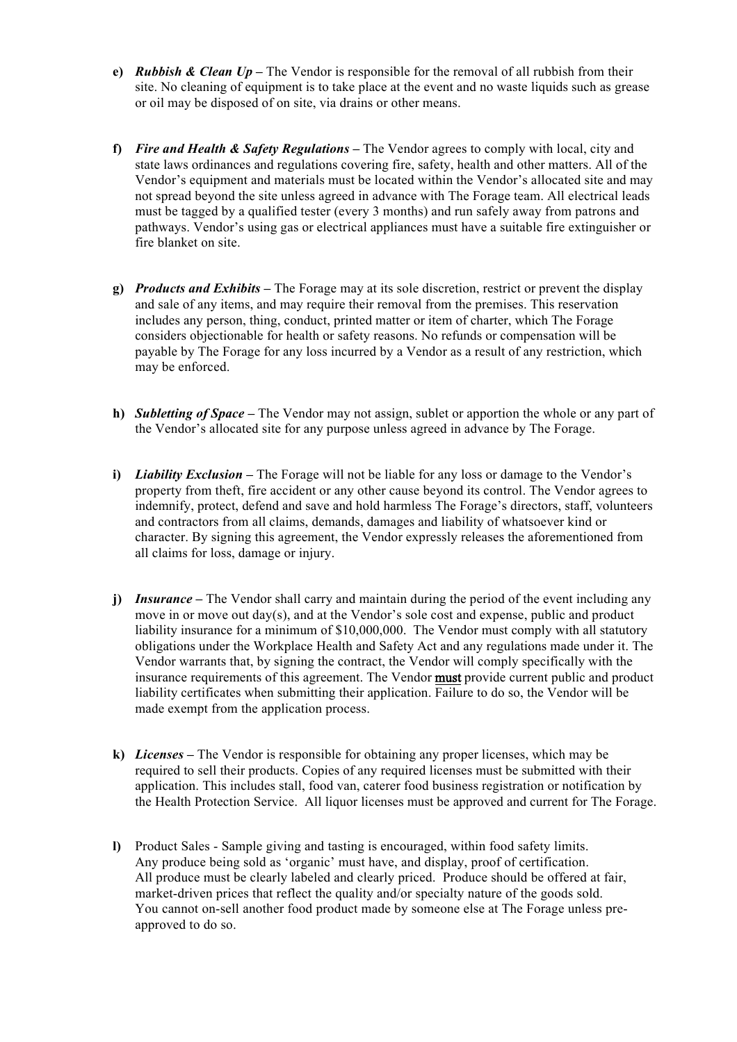- **e)** *Rubbish & Clean Up* The Vendor is responsible for the removal of all rubbish from their site. No cleaning of equipment is to take place at the event and no waste liquids such as grease or oil may be disposed of on site, via drains or other means.
- **f)** *Fire and Health & Safety Regulations* The Vendor agrees to comply with local, city and state laws ordinances and regulations covering fire, safety, health and other matters. All of the Vendor's equipment and materials must be located within the Vendor's allocated site and may not spread beyond the site unless agreed in advance with The Forage team. All electrical leads must be tagged by a qualified tester (every 3 months) and run safely away from patrons and pathways. Vendor's using gas or electrical appliances must have a suitable fire extinguisher or fire blanket on site.
- **g)** *Products and Exhibits* The Forage may at its sole discretion, restrict or prevent the display and sale of any items, and may require their removal from the premises. This reservation includes any person, thing, conduct, printed matter or item of charter, which The Forage considers objectionable for health or safety reasons. No refunds or compensation will be payable by The Forage for any loss incurred by a Vendor as a result of any restriction, which may be enforced.
- **h)** *Subletting of Space* The Vendor may not assign, sublet or apportion the whole or any part of the Vendor's allocated site for any purpose unless agreed in advance by The Forage.
- **i)** *Liability Exclusion –* The Forage will not be liable for any loss or damage to the Vendor's property from theft, fire accident or any other cause beyond its control. The Vendor agrees to indemnify, protect, defend and save and hold harmless The Forage's directors, staff, volunteers and contractors from all claims, demands, damages and liability of whatsoever kind or character. By signing this agreement, the Vendor expressly releases the aforementioned from all claims for loss, damage or injury.
- **j)** *Insurance* The Vendor shall carry and maintain during the period of the event including any move in or move out day(s), and at the Vendor's sole cost and expense, public and product liability insurance for a minimum of \$10,000,000. The Vendor must comply with all statutory obligations under the Workplace Health and Safety Act and any regulations made under it. The Vendor warrants that, by signing the contract, the Vendor will comply specifically with the insurance requirements of this agreement. The Vendor must provide current public and product liability certificates when submitting their application. Failure to do so, the Vendor will be made exempt from the application process.
- **k)** *Licenses –* The Vendor is responsible for obtaining any proper licenses, which may be required to sell their products. Copies of any required licenses must be submitted with their application. This includes stall, food van, caterer food business registration or notification by the Health Protection Service. All liquor licenses must be approved and current for The Forage.
- **l)** Product Sales Sample giving and tasting is encouraged, within food safety limits. Any produce being sold as 'organic' must have, and display, proof of certification. All produce must be clearly labeled and clearly priced. Produce should be offered at fair, market-driven prices that reflect the quality and/or specialty nature of the goods sold. You cannot on-sell another food product made by someone else at The Forage unless preapproved to do so.